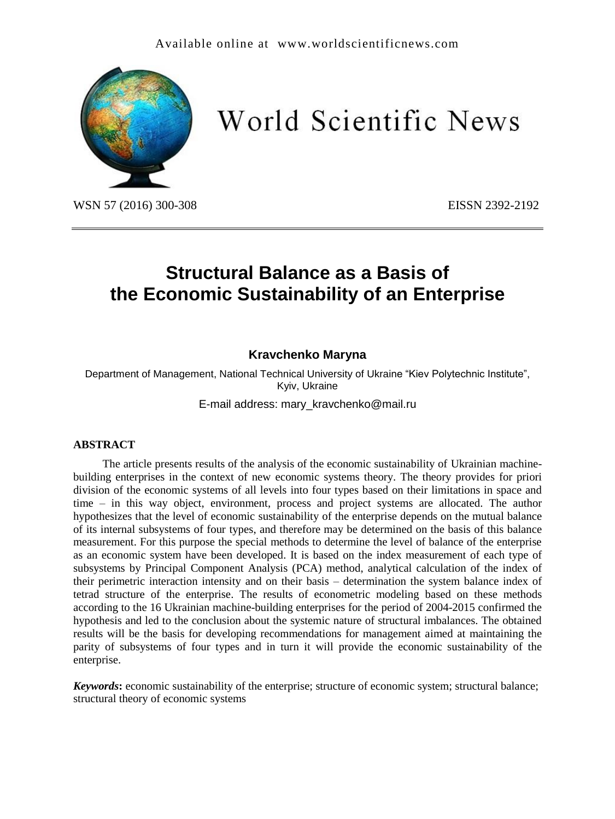

World Scientific News

WSN 57 (2016) 300-308 EISSN 2392-2192

# **Structural Balance as a Basis of the Economic Sustainability of an Enterprise**

## **Kravchenko Maryna**

Department of Management, National Technical University of Ukraine "Kiev Polytechnic Institute", Kyiv, Ukraine

E-mail address: mary\_kravchenko@mail.ru

#### **ABSTRACT**

The article presents results of the analysis of the economic sustainability of Ukrainian machinebuilding enterprises in the context of new economic systems theory. The theory provides for priori division of the economic systems of all levels into four types based on their limitations in space and time – in this way object, environment, process and project systems are allocated. The author hypothesizes that the level of economic sustainability of the enterprise depends on the mutual balance of its internal subsystems of four types, and therefore may be determined on the basis of this balance measurement. For this purpose the special methods to determine the level of balance of the enterprise as an economic system have been developed. It is based on the index measurement of each type of subsystems by Principal Component Analysis (PCA) method, analytical calculation of the index of their perimetric interaction intensity and on their basis – determination the system balance index of tetrad structure of the enterprise. The results of econometric modeling based on these methods according to the 16 Ukrainian machine-building enterprises for the period of 2004-2015 confirmed the hypothesis and led to the conclusion about the systemic nature of structural imbalances. The obtained results will be the basis for developing recommendations for management aimed at maintaining the parity of subsystems of four types and in turn it will provide the economic sustainability of the enterprise.

*Keywords***:** economic sustainability of the enterprise; structure of economic system; structural balance; structural theory of economic systems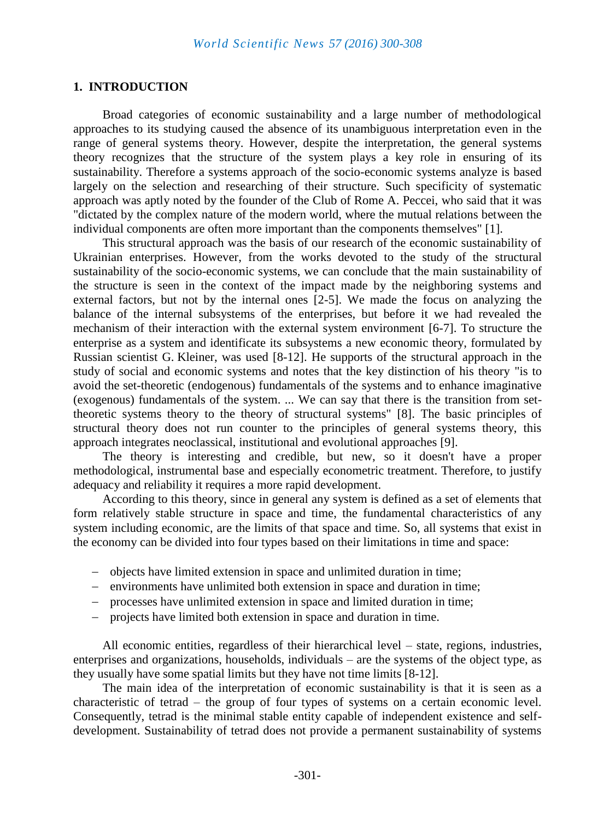#### **1. INTRODUCTION**

Broad categories of economic sustainability and a large number of methodological approaches to its studying caused the absence of its unambiguous interpretation even in the range of general systems theory. However, despite the interpretation, the general systems theory recognizes that the structure of the system plays a key role in ensuring of its sustainability. Therefore a systems approach of the socio-economic systems analyze is based largely on the selection and researching of their structure. Such specificity of systematic approach was aptly noted by the founder of the Club of Rome A. Peccei, who said that it was "dictated by the complex nature of the modern world, where the mutual relations between the individual components are often more important than the components themselves" [1].

This structural approach was the basis of our research of the economic sustainability of Ukrainian enterprises. However, from the works devoted to the study of the structural sustainability of the socio-economic systems, we can conclude that the main sustainability of the structure is seen in the context of the impact made by the neighboring systems and external factors, but not by the internal ones [2-5]. We made the focus on analyzing the balance of the internal subsystems of the enterprises, but before it we had revealed the mechanism of their interaction with the external system environment [6-7]. To structure the enterprise as a system and identificate its subsystems a new economic theory, formulated by Russian scientist G. Kleiner, was used [8-12]. He supports of the structural approach in the study of social and economic systems and notes that the key distinction of his theory "is to avoid the set-theoretic (endogenous) fundamentals of the systems and to enhance imaginative (exogenous) fundamentals of the system. ... We can say that there is the transition from settheoretic systems theory to the theory of structural systems" [8]. The basic principles of structural theory does not run counter to the principles of general systems theory, this approach integrates neoclassical, institutional and evolutional approaches [9].

The theory is interesting and credible, but new, so it doesn't have a proper methodological, instrumental base and especially econometric treatment. Therefore, to justify adequacy and reliability it requires a more rapid development.

According to this theory, since in general any system is defined as a set of elements that form relatively stable structure in space and time, the fundamental characteristics of any system including economic, are the limits of that space and time. So, all systems that exist in the economy can be divided into four types based on their limitations in time and space:

- objects have limited extension in space and unlimited duration in time;
- environments have unlimited both extension in space and duration in time;
- processes have unlimited extension in space and limited duration in time;
- projects have limited both extension in space and duration in time.

All economic entities, regardless of their hierarchical level – state, regions, industries, enterprises and organizations, households, individuals – are the systems of the object type, as they usually have some spatial limits but they have not time limits [8-12].

The main idea of the interpretation of economic sustainability is that it is seen as a characteristic of tetrad – the group of four types of systems on a certain economic level. Consequently, tetrad is the minimal stable entity capable of independent existence and selfdevelopment. Sustainability of tetrad does not provide a permanent sustainability of systems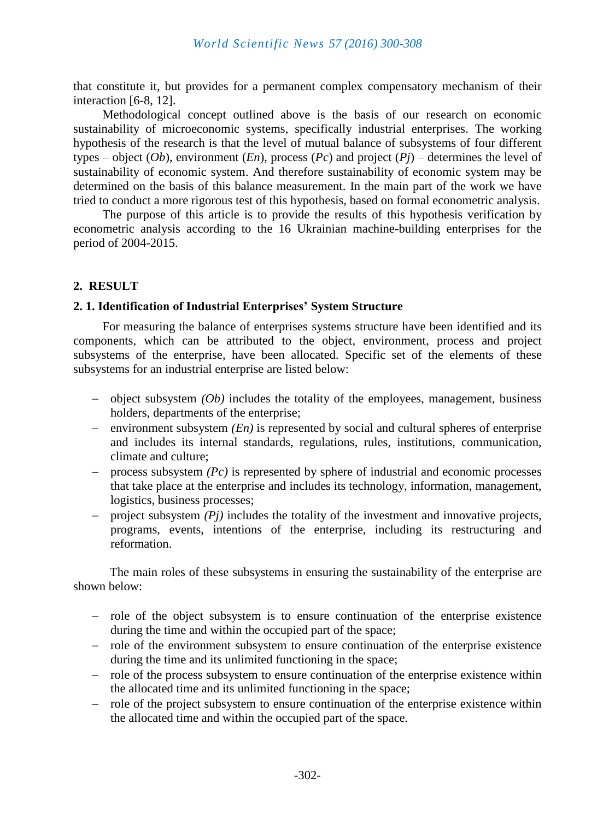that constitute it, but provides for a permanent complex compensatory mechanism of their interaction [6-8, 12].

Methodological concept outlined above is the basis of our research on economic sustainability of microeconomic systems, specifically industrial enterprises. The working hypothesis of the research is that the level of mutual balance of subsystems of four different types – object (*Ob*), environment (*En*), process (*Pc*) and project (*Pj*) – determines the level of sustainability of economic system. And therefore sustainability of economic system may be determined on the basis of this balance measurement. In the main part of the work we have tried to conduct a more rigorous test of this hypothesis, based on formal econometric analysis.

The purpose of this article is to provide the results of this hypothesis verification by econometric analysis according to the 16 Ukrainian machine-building enterprises for the period of 2004-2015.

## **2. RESULT**

#### **2. 1. Identification of Industrial Enterprises' System Structure**

For measuring the balance of enterprises systems structure have been identified and its components, which can be attributed to the object, environment, process and project subsystems of the enterprise, have been allocated. Specific set of the elements of these subsystems for an industrial enterprise are listed below:

- object subsystem *(Ob)* includes the totality of the employees, management, business holders, departments of the enterprise;
- environment subsystem *(En)* is represented by social and cultural spheres of enterprise and includes its internal standards, regulations, rules, institutions, communication, climate and culture;
- $\alpha$  process subsystem *(Pc)* is represented by sphere of industrial and economic processes that take place at the enterprise and includes its technology, information, management, logistics, business processes;
- project subsystem *(Pj)* includes the totality of the investment and innovative projects, programs, events, intentions of the enterprise, including its restructuring and reformation.

The main roles of these subsystems in ensuring the sustainability of the enterprise are shown below:

- role of the object subsystem is to ensure continuation of the enterprise existence during the time and within the occupied part of the space;
- role of the environment subsystem to ensure continuation of the enterprise existence during the time and its unlimited functioning in the space;
- role of the process subsystem to ensure continuation of the enterprise existence within the allocated time and its unlimited functioning in the space;
- role of the project subsystem to ensure continuation of the enterprise existence within the allocated time and within the occupied part of the space.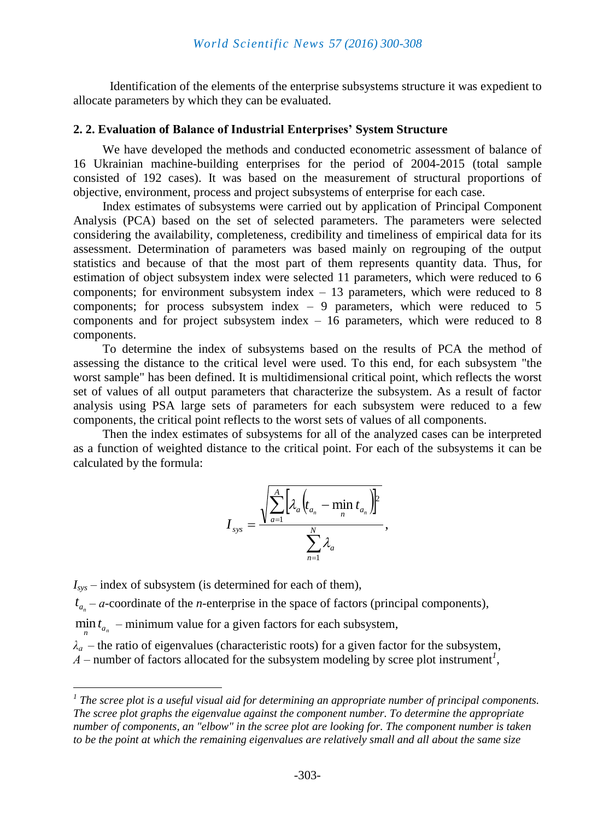Identification of the elements of the enterprise subsystems structure it was expedient to allocate parameters by which they can be evaluated.

#### **2. 2. Evaluation of Balance of Industrial Enterprises' System Structure**

We have developed the methods and conducted econometric assessment of balance of 16 Ukrainian machine-building enterprises for the period of 2004-2015 (total sample consisted of 192 cases). It was based on the measurement of structural proportions of objective, environment, process and project subsystems of enterprise for each case.

Index estimates of subsystems were carried out by application of Principal Component Analysis (PCA) based on the set of selected parameters. The parameters were selected considering the availability, completeness, credibility and timeliness of empirical data for its assessment. Determination of parameters was based mainly on regrouping of the output statistics and because of that the most part of them represents quantity data. Thus, for estimation of object subsystem index were selected 11 parameters, which were reduced to 6 components; for environment subsystem index  $-13$  parameters, which were reduced to 8 components; for process subsystem index  $-9$  parameters, which were reduced to 5 components and for project subsystem index – 16 parameters, which were reduced to 8 components.

To determine the index of subsystems based on the results of PCA the method of assessing the distance to the critical level were used. To this end, for each subsystem "the worst sample" has been defined. It is multidimensional critical point, which reflects the worst set of values of all output parameters that characterize the subsystem. As a result of factor analysis using PSA large sets of parameters for each subsystem were reduced to a few components, the critical point reflects to the worst sets of values of all components.

Then the index estimates of subsystems for all of the analyzed cases can be interpreted as a function of weighted distance to the critical point. For each of the subsystems it can be calculated by the formula:

$$
I_{\rm sys} = \frac{\sqrt{\sum_{a=1}^{A} \left[\lambda_a \left(t_{a_n} - \min_n t_{a_n}\right)\right]^2}}{\sum_{n=1}^{N} \lambda_a},
$$

*Isys* – index of subsystem (is determined for each of them),

 $\overline{a}$ 

 $t_{a_n}$  – *a*-coordinate of the *n*-enterprise in the space of factors (principal components),

 $\min_{n} t_{a_n}$  – minimum value for a given factors for each subsystem,

 $\lambda_a$  – the ratio of eigenvalues (characteristic roots) for a given factor for the subsystem,

*А* – number of factors allocated for the subsystem modeling by scree plot instrument*<sup>1</sup>* ,

*<sup>1</sup> The scree plot is a useful visual aid for determining an appropriate number of principal components. The scree plot graphs the eigenvalue against the component number. To determine the appropriate number of components, an "elbow" in the scree plot are looking for. The component number is taken to be the point at which the remaining eigenvalues are relatively small and all about the same size*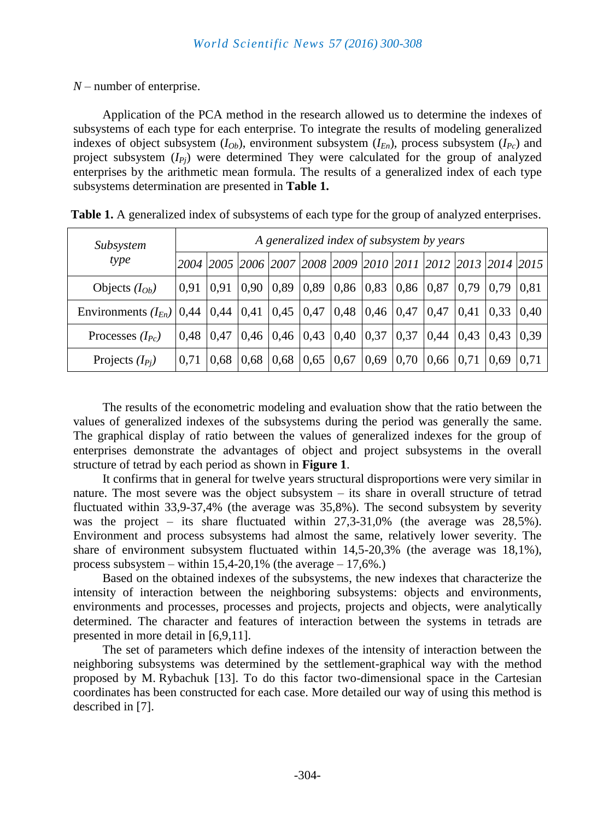*N* – number of enterprise.

Application of the PCA method in the research allowed us to determine the indexes of subsystems of each type for each enterprise. To integrate the results of modeling generalized indexes of object subsystem  $(I_{Ob})$ , environment subsystem  $(I_{En})$ , process subsystem  $(I_{Po})$  and project subsystem  $(I_{P_i})$  were determined They were calculated for the group of analyzed enterprises by the arithmetic mean formula. The results of a generalized index of each type subsystems determination are presented in **Table 1.**

| Subsystem<br>type                                                                                    | A generalized index of subsystem by years |      |  |  |  |                                                                                                                            |  |  |                                    |  |      |      |
|------------------------------------------------------------------------------------------------------|-------------------------------------------|------|--|--|--|----------------------------------------------------------------------------------------------------------------------------|--|--|------------------------------------|--|------|------|
|                                                                                                      |                                           |      |  |  |  | 2004  2005  2006  2007  2008  2009  2010  2011  2012  2013  2014  2015                                                     |  |  |                                    |  |      |      |
| Objects $(I_{Ob})$                                                                                   |                                           |      |  |  |  | $\vert 0.91 \vert 0.91 \vert 0.90 \vert 0.89 \vert 0.89 \vert 0.86 \vert 0.83 \vert 0.86 \vert 0.87 \vert 0.79 \vert 0.79$ |  |  |                                    |  |      | 0.81 |
| Environments $(I_{En})$   0,44   0,44   0,41   0,45   0,47   0,48   0,46   0,47   0,47   0,41   0,33 |                                           |      |  |  |  |                                                                                                                            |  |  |                                    |  |      | 0.40 |
| Processes $(I_{Pc})$                                                                                 | 0.48                                      |      |  |  |  | $\vert 0.47 \vert 0.46 \vert 0.46 \vert 0.43 \vert 0.40 \vert 0.37 \vert 0.37 \vert 0.44 \vert 0.43 \vert 0.43$            |  |  |                                    |  |      | 0.39 |
| Projects $(I_{P_i})$                                                                                 | 0,71                                      | 0,68 |  |  |  | $\vert 0.68 \vert 0.68 \vert 0.65 \vert 0.67 \vert 0.69$                                                                   |  |  | $\vert 0.70 \vert 0.66 \vert 0.71$ |  | 0,69 | 0.71 |

**Table 1.** A generalized index of subsystems of each type for the group of analyzed enterprises.

The results of the econometric modeling and evaluation show that the ratio between the values of generalized indexes of the subsystems during the period was generally the same. The graphical display of ratio between the values of generalized indexes for the group of enterprises demonstrate the advantages of object and project subsystems in the overall structure of tetrad by each period as shown in **Figure 1**.

It confirms that in general for twelve years structural disproportions were very similar in nature. The most severe was the object subsystem – its share in overall structure of tetrad fluctuated within 33,9-37,4% (the average was 35,8%). The second subsystem by severity was the project – its share fluctuated within 27,3-31,0% (the average was 28,5%). Environment and process subsystems had almost the same, relatively lower severity. The share of environment subsystem fluctuated within 14,5-20,3% (the average was 18,1%), process subsystem – within  $15,4-20,1\%$  (the average – 17,6%.)

Based on the obtained indexes of the subsystems, the new indexes that characterize the intensity of interaction between the neighboring subsystems: objects and environments, environments and processes, processes and projects, projects and objects, were analytically determined. The character and features of interaction between the systems in tetrads are presented in more detail in [6,9,11].

The set of parameters which define indexes of the intensity of interaction between the neighboring subsystems was determined by the settlement-graphical way with the method proposed by M. Rybachuk [13]. To do this factor two-dimensional space in the Cartesian coordinates has been constructed for each case. More detailed our way of using this method is described in [7].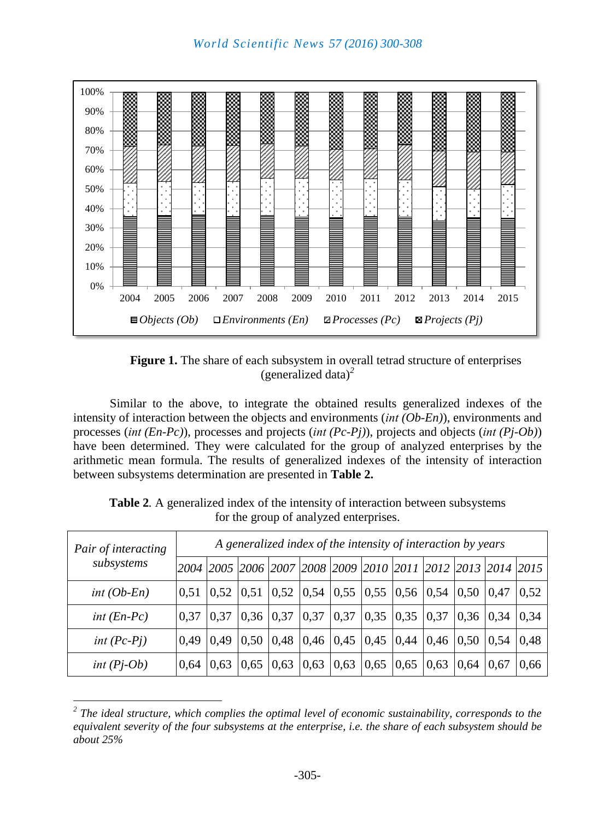

**Figure 1.** The share of each subsystem in overall tetrad structure of enterprises (generalized data)*<sup>2</sup>*

Similar to the above, to integrate the obtained results generalized indexes of the intensity of interaction between the objects and environments (*іnt (Ob-En)*), environments and processes (*іnt (En-Pc)*), processes and projects (*іnt (Pc-Pj)*), projects and objects (*іnt (Pj-Ob)*) have been determined. They were calculated for the group of analyzed enterprises by the arithmetic mean formula. The results of generalized indexes of the intensity of interaction between subsystems determination are presented in **Table 2.**

| Pair of interacting<br>subsystems | A generalized index of the intensity of interaction by years |      |      |                                          |  |                                                                                           |      |      |      |                  |  |      |
|-----------------------------------|--------------------------------------------------------------|------|------|------------------------------------------|--|-------------------------------------------------------------------------------------------|------|------|------|------------------|--|------|
|                                   |                                                              |      |      |                                          |  | 2004  2005  2006  2007  2008  2009  2010  2011  2012  2013  2014  2015                    |      |      |      |                  |  |      |
| $int(Ob-En)$                      | 0,51                                                         | 0,52 |      |                                          |  | $\vert 0.51 \vert 0.52 \vert 0.54 \vert 0.55 \vert 0.55 \vert 0.56 \vert 0.54 \vert$      |      |      |      | $0,50$   $0,47$  |  | 0,52 |
| int $(En-Pc)$                     | 0.37                                                         | 0.37 |      |                                          |  | $\vert 0.36 \vert 0.37 \vert 0.37 \vert 0.37 \vert 0.35 \vert 0.35 \vert 0.37 \vert$      |      |      |      | $0,36$ 0.34      |  | 0.34 |
| int $(Pc-Pj)$                     | 0.49                                                         | 0.49 | 0.50 |                                          |  | $\vert 0.48 \vert 0.46 \vert 0.45 \vert 0.45 \vert 0.44 \vert 0.46 \vert 0.50 \vert 0.54$ |      |      |      |                  |  | 0.48 |
| $int (Pj-Ob)$                     | 0.64                                                         | 0.63 | 0,65 | $\vert 0.63 \vert 0.63 \vert 0.63 \vert$ |  |                                                                                           | 0,65 | 0,65 | 0,63 | $0,64 \mid 0,67$ |  | 0.66 |

**Table 2***.* A generalized index of the intensity of interaction between subsystems for the group of analyzed enterprises.

 $\overline{a}$ 

*<sup>2</sup> The ideal structure, which complies the optimal level of economic sustainability, corresponds to the equivalent severity of the four subsystems at the enterprise, i.e. the share of each subsystem should be about 25%*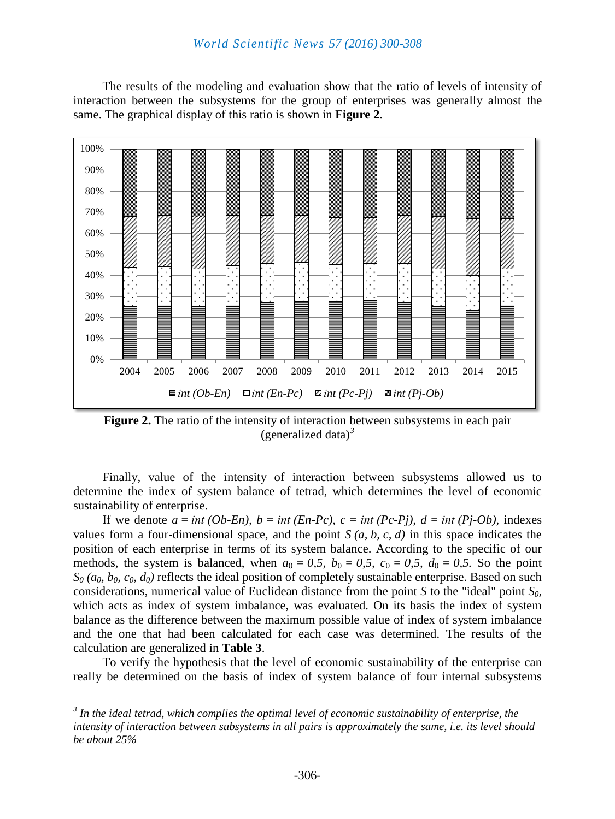The results of the modeling and evaluation show that the ratio of levels of intensity of interaction between the subsystems for the group of enterprises was generally almost the same. The graphical display of this ratio is shown in **Figure 2**.



**Figure 2.** The ratio of the intensity of interaction between subsystems in each pair (generalized data)*<sup>3</sup>*

Finally, value of the intensity of interaction between subsystems allowed us to determine the index of system balance of tetrad, which determines the level of economic sustainability of enterprise.

If we denote  $a = int (Ob-En)$ ,  $b = int (En-Pc)$ ,  $c = int (Pc-Pi)$ ,  $d = int (Pi-Ob)$ , indexes values form a four-dimensional space, and the point  $S(a, b, c, d)$  in this space indicates the position of each enterprise in terms of its system balance. According to the specific of our methods, the system is balanced, when  $a_0 = 0.5$ ,  $b_0 = 0.5$ ,  $c_0 = 0.5$ ,  $d_0 = 0.5$ . So the point  $S_0$  ( $a_0$ ,  $b_0$ ,  $c_0$ ,  $d_0$ ) reflects the ideal position of completely sustainable enterprise. Based on such considerations, numerical value of Euclidean distance from the point *S* to the "ideal" point *S0,*  which acts as index of system imbalance, was evaluated. On its basis the index of system balance as the difference between the maximum possible value of index of system imbalance and the one that had been calculated for each case was determined. The results of the calculation are generalized in **Table 3**.

To verify the hypothesis that the level of economic sustainability of the enterprise can really be determined on the basis of index of system balance of four internal subsystems

 $\overline{a}$ 

*<sup>3</sup> In the ideal tetrad, which complies the optimal level of economic sustainability of enterprise, the intensity of interaction between subsystems in all pairs is approximately the same, i.e. its level should be about 25%*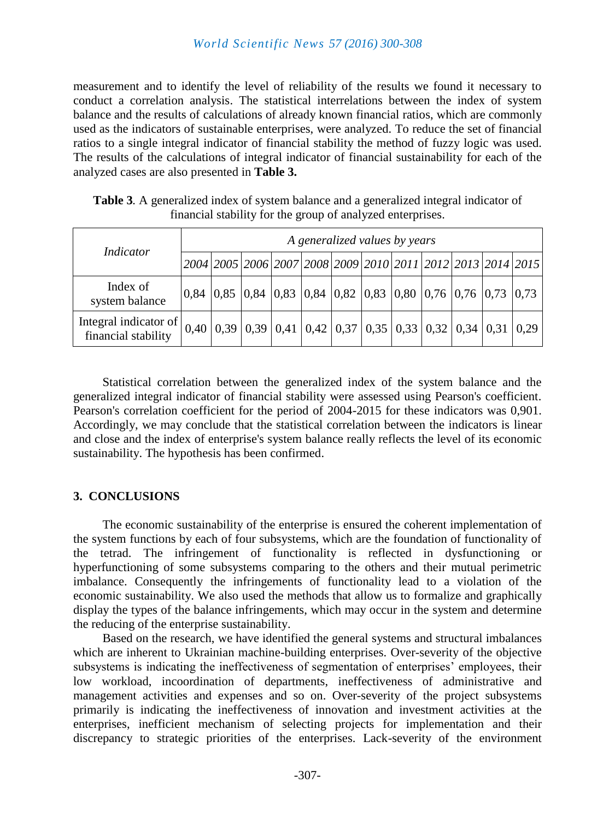measurement and to identify the level of reliability of the results we found it necessary to conduct a correlation analysis. The statistical interrelations between the index of system balance and the results of calculations of already known financial ratios, which are commonly used as the indicators of sustainable enterprises, were analyzed. To reduce the set of financial ratios to a single integral indicator of financial stability the method of fuzzy logic was used. The results of the calculations of integral indicator of financial sustainability for each of the analyzed cases are also presented in **Table 3.**

| Indicator                                                                                                                               | A generalized values by years |                                                                                                                                       |  |  |  |  |  |  |  |  |  |  |
|-----------------------------------------------------------------------------------------------------------------------------------------|-------------------------------|---------------------------------------------------------------------------------------------------------------------------------------|--|--|--|--|--|--|--|--|--|--|
|                                                                                                                                         |                               | 2004 2005 2006 2007 2008 2009 2010 2011 2012 2013 2014 2015                                                                           |  |  |  |  |  |  |  |  |  |  |
| Index of<br>system balance                                                                                                              |                               | $\vert 0.84 \vert 0.85 \vert 0.84 \vert 0.83 \vert 0.84 \vert 0.82 \vert 0.83 \vert 0.80 \vert 0.76 \vert 0.76 \vert 0.73 \vert 0.73$ |  |  |  |  |  |  |  |  |  |  |
| Integral indicator of $\begin{bmatrix} 0,40 & 0,39 & 0,39 & 0,41 & 0,42 & 0,37 & 0,35 & 0,33 & 0,32 & 0,34 & 0,31 & 0,29 \end{bmatrix}$ |                               |                                                                                                                                       |  |  |  |  |  |  |  |  |  |  |

**Table 3***.* A generalized index of system balance and a generalized integral indicator of financial stability for the group of analyzed enterprises.

Statistical correlation between the generalized index of the system balance and the generalized integral indicator of financial stability were assessed using Pearson's coefficient. Pearson's correlation coefficient for the period of 2004-2015 for these indicators was 0,901. Accordingly, we may conclude that the statistical correlation between the indicators is linear and close and the index of enterprise's system balance really reflects the level of its economic sustainability. The hypothesis has been confirmed.

# **3. CONCLUSIONS**

The economic sustainability of the enterprise is ensured the coherent implementation of the system functions by each of four subsystems, which are the foundation of functionality of the tetrad. The infringement of functionality is reflected in dysfunctioning or hyperfunctioning of some subsystems comparing to the others and their mutual perimetric imbalance. Consequently the infringements of functionality lead to a violation of the economic sustainability. We also used the methods that allow us to formalize and graphically display the types of the balance infringements, which may occur in the system and determine the reducing of the enterprise sustainability.

Based on the research, we have identified the general systems and structural imbalances which are inherent to Ukrainian machine-building enterprises. Over-severity of the objective subsystems is indicating the ineffectiveness of segmentation of enterprises' employees, their low workload, incoordination of departments, ineffectiveness of administrative and management activities and expenses and so on. Over-severity of the project subsystems primarily is indicating the ineffectiveness of innovation and investment activities at the enterprises, inefficient mechanism of selecting projects for implementation and their discrepancy to strategic priorities of the enterprises. Lack-severity of the environment